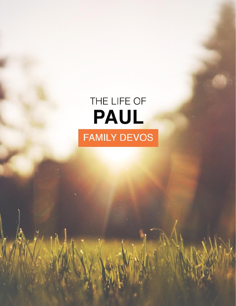# THE LIFE OF PAUL **FAMILY DEVOS**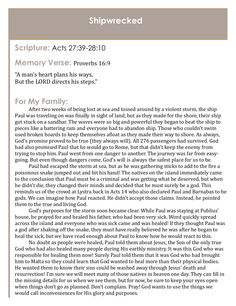### **Shipwrecked**

#### **Scripture:** Acts 27:39-28:10

#### **Memory Verse:** Proverbs 16:9

"A man's heart plans his ways, But the LORD directs his steps."

#### **For My Family:**

After two weeks of being lost at sea and tossed around by a violent storm, the ship Paul was traveling on was finally in sight of land, but as they made for the shore, their ship got stuck on a sandbar. The waves were so big and powerful they began to beat the ship to pieces like a battering ram and everyone had to abandon ship. Those who couldn't swim used broken boards to keep themselves afloat as they made their way to shore. As always, God's promise proved to be true (they always will). All 276 passengers had survived. God had also promised Paul that he would go to Rome, but that didn't keep the enemy from trying to stop him. Paul went from one danger to another. The journey was far from easygoing. But even though dangers come, God's will is always the safest place for us to be.

Paul had escaped the storm at sea, but as he was gathering sticks to add to the fire a poisonous snake jumped out and bit his hand! The natives on the island immediately came to the conclusion that Paul must be a criminal and was getting what he deserved, but when he didn't die, they changed their minds and decided that he must surely be a god. This reminds us of the crowd at Lystra back in Acts 14 who also declared Paul and Barnabas to be gods. We can imagine how Paul reacted. He didn't accept those claims. Instead, he pointed them to the true and living God.

God's purposes for the storm soon became clear. While Paul was staying at Publius' house, he prayed for and healed his father, who had been very sick. Word quickly spread across the island and everyone who was sick came and was healed! If they thought Paul was a god after shaking off the snake, they must have really believed he was after he began to heal the sick, but we have read enough about Paul to know how he would react to this.

No doubt as people were healed, Paul told them about Jesus, the Son of the only true God who had also healed many people during His earthly ministry. It was this God who was responsible for healing them now! Surely Paul told them that it was God who had brought him to Malta so they could learn that God wanted to heal more than their physical bodies. He wanted them to know their sins could be washed away through Jesus' death and resurrection! I'm sure we will meet many of those natives in heaven one day. They can fill in the missing details for us when we see them, but for now, be sure to keep your eyes open when things don't go as planned. Don't complain. Pray! God wants to use the things we would call inconveniences for His glory and purposes.